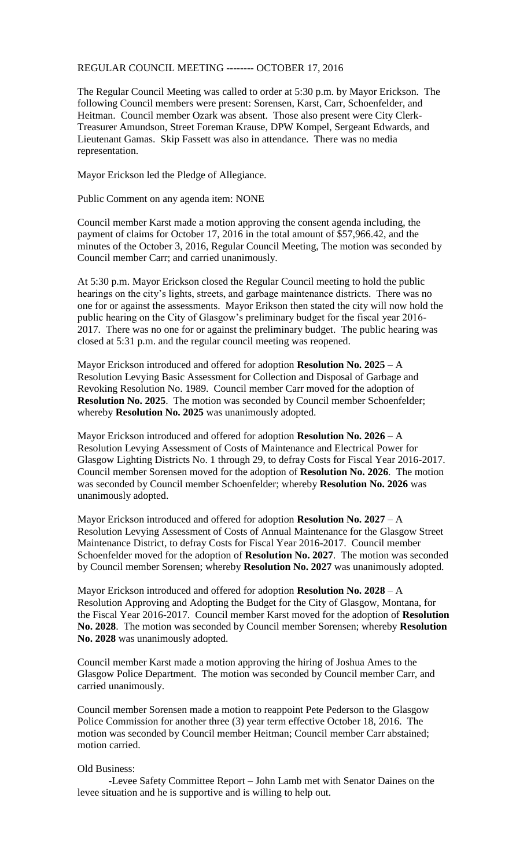## REGULAR COUNCIL MEETING -------- OCTOBER 17, 2016

The Regular Council Meeting was called to order at 5:30 p.m. by Mayor Erickson. The following Council members were present: Sorensen, Karst, Carr, Schoenfelder, and Heitman. Council member Ozark was absent. Those also present were City Clerk-Treasurer Amundson, Street Foreman Krause, DPW Kompel, Sergeant Edwards, and Lieutenant Gamas. Skip Fassett was also in attendance. There was no media representation.

Mayor Erickson led the Pledge of Allegiance.

Public Comment on any agenda item: NONE

Council member Karst made a motion approving the consent agenda including, the payment of claims for October 17, 2016 in the total amount of \$57,966.42, and the minutes of the October 3, 2016, Regular Council Meeting, The motion was seconded by Council member Carr; and carried unanimously.

At 5:30 p.m. Mayor Erickson closed the Regular Council meeting to hold the public hearings on the city's lights, streets, and garbage maintenance districts. There was no one for or against the assessments. Mayor Erikson then stated the city will now hold the public hearing on the City of Glasgow's preliminary budget for the fiscal year 2016- 2017. There was no one for or against the preliminary budget. The public hearing was closed at 5:31 p.m. and the regular council meeting was reopened.

Mayor Erickson introduced and offered for adoption **Resolution No. 2025** – A Resolution Levying Basic Assessment for Collection and Disposal of Garbage and Revoking Resolution No. 1989. Council member Carr moved for the adoption of **Resolution No. 2025**. The motion was seconded by Council member Schoenfelder; whereby **Resolution No. 2025** was unanimously adopted.

Mayor Erickson introduced and offered for adoption **Resolution No. 2026** – A Resolution Levying Assessment of Costs of Maintenance and Electrical Power for Glasgow Lighting Districts No. 1 through 29, to defray Costs for Fiscal Year 2016-2017. Council member Sorensen moved for the adoption of **Resolution No. 2026**. The motion was seconded by Council member Schoenfelder; whereby **Resolution No. 2026** was unanimously adopted.

Mayor Erickson introduced and offered for adoption **Resolution No. 2027** – A Resolution Levying Assessment of Costs of Annual Maintenance for the Glasgow Street Maintenance District, to defray Costs for Fiscal Year 2016-2017. Council member Schoenfelder moved for the adoption of **Resolution No. 2027**. The motion was seconded by Council member Sorensen; whereby **Resolution No. 2027** was unanimously adopted.

Mayor Erickson introduced and offered for adoption **Resolution No. 2028** – A Resolution Approving and Adopting the Budget for the City of Glasgow, Montana, for the Fiscal Year 2016-2017. Council member Karst moved for the adoption of **Resolution No. 2028**. The motion was seconded by Council member Sorensen; whereby **Resolution No. 2028** was unanimously adopted.

Council member Karst made a motion approving the hiring of Joshua Ames to the Glasgow Police Department. The motion was seconded by Council member Carr, and carried unanimously.

Council member Sorensen made a motion to reappoint Pete Pederson to the Glasgow Police Commission for another three (3) year term effective October 18, 2016. The motion was seconded by Council member Heitman; Council member Carr abstained; motion carried.

## Old Business:

-Levee Safety Committee Report – John Lamb met with Senator Daines on the levee situation and he is supportive and is willing to help out.